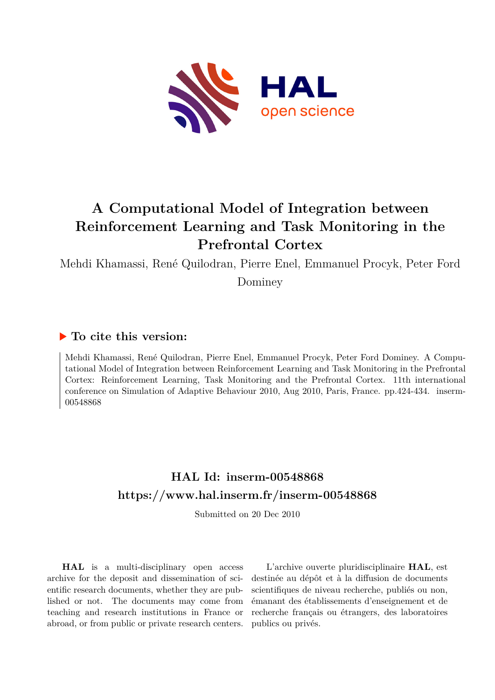

# **A Computational Model of Integration between Reinforcement Learning and Task Monitoring in the Prefrontal Cortex**

Mehdi Khamassi, René Quilodran, Pierre Enel, Emmanuel Procyk, Peter Ford

Dominey

### **To cite this version:**

Mehdi Khamassi, René Quilodran, Pierre Enel, Emmanuel Procyk, Peter Ford Dominey. A Computational Model of Integration between Reinforcement Learning and Task Monitoring in the Prefrontal Cortex: Reinforcement Learning, Task Monitoring and the Prefrontal Cortex. 11th international conference on Simulation of Adaptive Behaviour 2010, Aug 2010, Paris, France. pp.424-434. inserm-00548868

## **HAL Id: inserm-00548868 <https://www.hal.inserm.fr/inserm-00548868>**

Submitted on 20 Dec 2010

**HAL** is a multi-disciplinary open access archive for the deposit and dissemination of scientific research documents, whether they are published or not. The documents may come from teaching and research institutions in France or abroad, or from public or private research centers.

L'archive ouverte pluridisciplinaire **HAL**, est destinée au dépôt et à la diffusion de documents scientifiques de niveau recherche, publiés ou non, émanant des établissements d'enseignement et de recherche français ou étrangers, des laboratoires publics ou privés.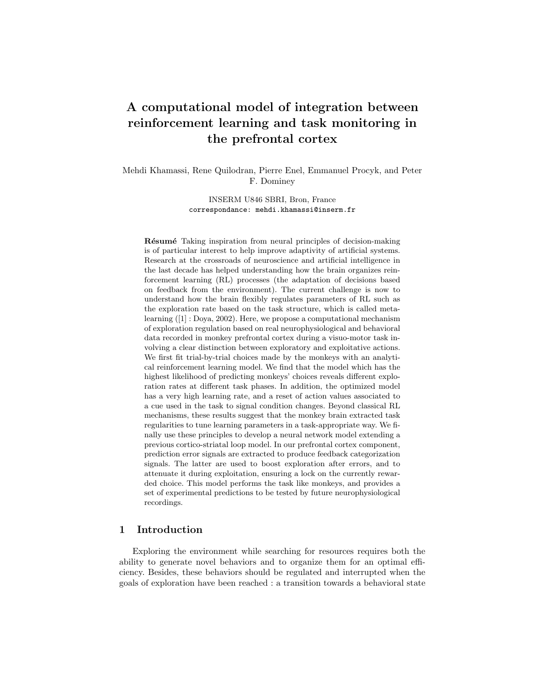## A computational model of integration between reinforcement learning and task monitoring in the prefrontal cortex

Mehdi Khamassi, Rene Quilodran, Pierre Enel, Emmanuel Procyk, and Peter F. Dominey

> INSERM U846 SBRI, Bron, France correspondance: mehdi.khamassi@inserm.fr

Résumé Taking inspiration from neural principles of decision-making is of particular interest to help improve adaptivity of artificial systems. Research at the crossroads of neuroscience and artificial intelligence in the last decade has helped understanding how the brain organizes reinforcement learning (RL) processes (the adaptation of decisions based on feedback from the environment). The current challenge is now to understand how the brain flexibly regulates parameters of RL such as the exploration rate based on the task structure, which is called metalearning ([1] : Doya, 2002). Here, we propose a computational mechanism of exploration regulation based on real neurophysiological and behavioral data recorded in monkey prefrontal cortex during a visuo-motor task involving a clear distinction between exploratory and exploitative actions. We first fit trial-by-trial choices made by the monkeys with an analytical reinforcement learning model. We find that the model which has the highest likelihood of predicting monkeys' choices reveals different exploration rates at different task phases. In addition, the optimized model has a very high learning rate, and a reset of action values associated to a cue used in the task to signal condition changes. Beyond classical RL mechanisms, these results suggest that the monkey brain extracted task regularities to tune learning parameters in a task-appropriate way. We finally use these principles to develop a neural network model extending a previous cortico-striatal loop model. In our prefrontal cortex component, prediction error signals are extracted to produce feedback categorization signals. The latter are used to boost exploration after errors, and to attenuate it during exploitation, ensuring a lock on the currently rewarded choice. This model performs the task like monkeys, and provides a set of experimental predictions to be tested by future neurophysiological recordings.

#### 1 Introduction

Exploring the environment while searching for resources requires both the ability to generate novel behaviors and to organize them for an optimal efficiency. Besides, these behaviors should be regulated and interrupted when the goals of exploration have been reached : a transition towards a behavioral state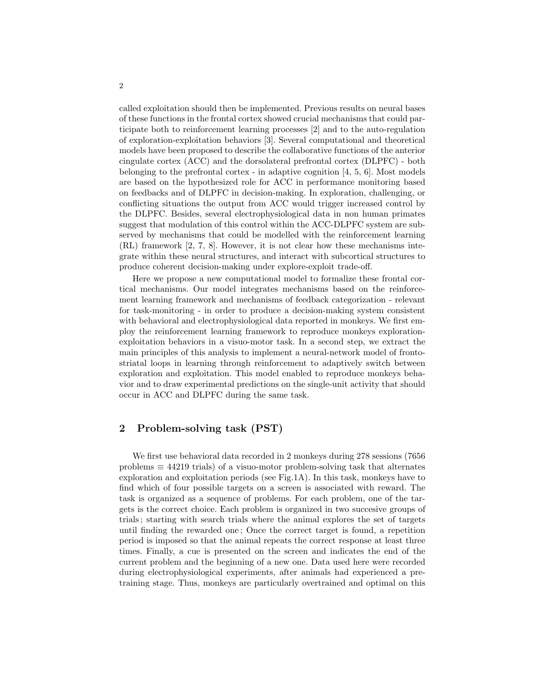called exploitation should then be implemented. Previous results on neural bases of these functions in the frontal cortex showed crucial mechanisms that could participate both to reinforcement learning processes [2] and to the auto-regulation of exploration-exploitation behaviors [3]. Several computational and theoretical models have been proposed to describe the collaborative functions of the anterior cingulate cortex (ACC) and the dorsolateral prefrontal cortex (DLPFC) - both belonging to the prefrontal cortex - in adaptive cognition  $[4, 5, 6]$ . Most models are based on the hypothesized role for ACC in performance monitoring based on feedbacks and of DLPFC in decision-making. In exploration, challenging, or conflicting situations the output from ACC would trigger increased control by the DLPFC. Besides, several electrophysiological data in non human primates suggest that modulation of this control within the ACC-DLPFC system are subserved by mechanisms that could be modelled with the reinforcement learning (RL) framework [2, 7, 8]. However, it is not clear how these mechanisms integrate within these neural structures, and interact with subcortical structures to produce coherent decision-making under explore-exploit trade-off.

Here we propose a new computational model to formalize these frontal cortical mechanisms. Our model integrates mechanisms based on the reinforcement learning framework and mechanisms of feedback categorization - relevant for task-monitoring - in order to produce a decision-making system consistent with behavioral and electrophysiological data reported in monkeys. We first employ the reinforcement learning framework to reproduce monkeys explorationexploitation behaviors in a visuo-motor task. In a second step, we extract the main principles of this analysis to implement a neural-network model of frontostriatal loops in learning through reinforcement to adaptively switch between exploration and exploitation. This model enabled to reproduce monkeys behavior and to draw experimental predictions on the single-unit activity that should occur in ACC and DLPFC during the same task.

#### 2 Problem-solving task (PST)

We first use behavioral data recorded in 2 monkeys during 278 sessions (7656 problems  $\equiv$  44219 trials) of a visuo-motor problem-solving task that alternates exploration and exploitation periods (see Fig.1A). In this task, monkeys have to find which of four possible targets on a screen is associated with reward. The task is organized as a sequence of problems. For each problem, one of the targets is the correct choice. Each problem is organized in two succesive groups of trials ; starting with search trials where the animal explores the set of targets until finding the rewarded one; Once the correct target is found, a repetition period is imposed so that the animal repeats the correct response at least three times. Finally, a cue is presented on the screen and indicates the end of the current problem and the beginning of a new one. Data used here were recorded during electrophysiological experiments, after animals had experienced a pretraining stage. Thus, monkeys are particularly overtrained and optimal on this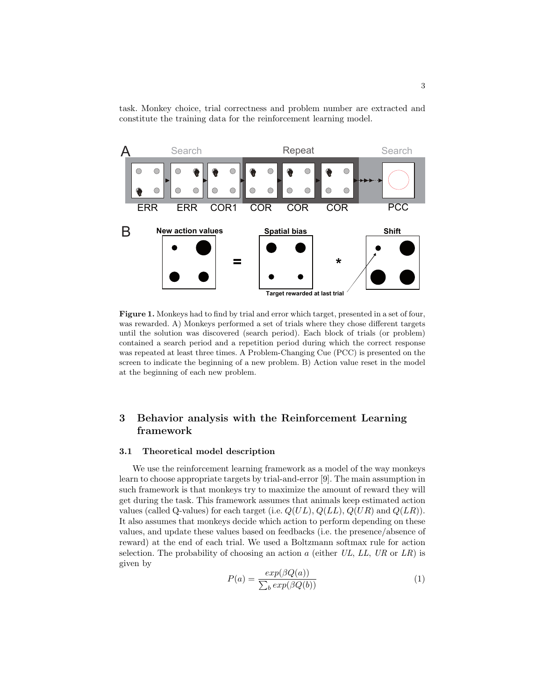task. Monkey choice, trial correctness and problem number are extracted and constitute the training data for the reinforcement learning model.



Figure 1. Monkeys had to find by trial and error which target, presented in a set of four, was rewarded. A) Monkeys performed a set of trials where they chose different targets until the solution was discovered (search period). Each block of trials (or problem) contained a search period and a repetition period during which the correct response was repeated at least three times. A Problem-Changing Cue (PCC) is presented on the screen to indicate the beginning of a new problem. B) Action value reset in the model at the beginning of each new problem.

### 3 Behavior analysis with the Reinforcement Learning framework

#### 3.1 Theoretical model description

We use the reinforcement learning framework as a model of the way monkeys learn to choose appropriate targets by trial-and-error [9]. The main assumption in such framework is that monkeys try to maximize the amount of reward they will get during the task. This framework assumes that animals keep estimated action values (called Q-values) for each target (i.e.  $Q(UL), Q(LL), Q(UR)$  and  $Q(LR)$ ). It also assumes that monkeys decide which action to perform depending on these values, and update these values based on feedbacks (i.e. the presence/absence of reward) at the end of each trial. We used a Boltzmann softmax rule for action selection. The probability of choosing an action a (either *UL*, *LL*, *UR* or *LR*) is given by

$$
P(a) = \frac{\exp(\beta Q(a))}{\sum_{b} \exp(\beta Q(b))}
$$
 (1)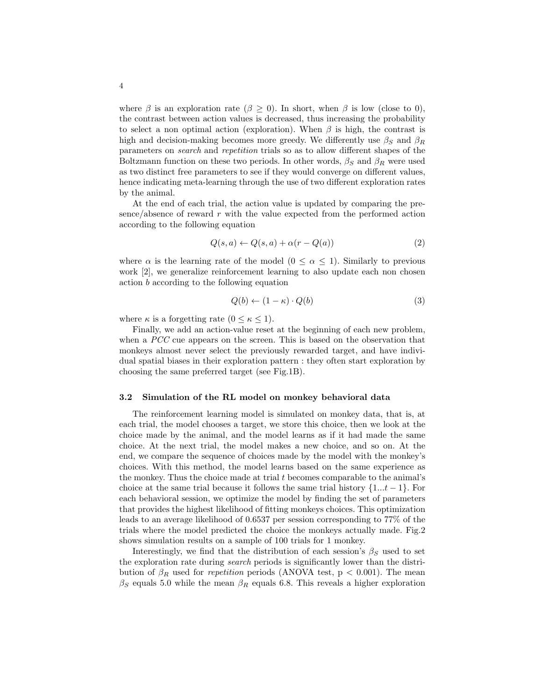where  $\beta$  is an exploration rate  $(\beta \geq 0)$ . In short, when  $\beta$  is low (close to 0), the contrast between action values is decreased, thus increasing the probability to select a non optimal action (exploration). When  $\beta$  is high, the contrast is high and decision-making becomes more greedy. We differently use  $\beta_S$  and  $\beta_R$ parameters on *search* and *repetition* trials so as to allow different shapes of the Boltzmann function on these two periods. In other words,  $\beta_S$  and  $\beta_R$  were used as two distinct free parameters to see if they would converge on different values, hence indicating meta-learning through the use of two different exploration rates by the animal.

At the end of each trial, the action value is updated by comparing the presence/absence of reward  $r$  with the value expected from the performed action according to the following equation

$$
Q(s,a) \leftarrow Q(s,a) + \alpha(r - Q(a))
$$
\n(2)

where  $\alpha$  is the learning rate of the model  $(0 \leq \alpha \leq 1)$ . Similarly to previous work [2], we generalize reinforcement learning to also update each non chosen action b according to the following equation

$$
Q(b) \leftarrow (1 - \kappa) \cdot Q(b) \tag{3}
$$

where  $\kappa$  is a forgetting rate  $(0 \leq \kappa \leq 1)$ .

Finally, we add an action-value reset at the beginning of each new problem, when a *PCC* cue appears on the screen. This is based on the observation that monkeys almost never select the previously rewarded target, and have individual spatial biases in their exploration pattern : they often start exploration by choosing the same preferred target (see Fig.1B).

#### 3.2 Simulation of the RL model on monkey behavioral data

The reinforcement learning model is simulated on monkey data, that is, at each trial, the model chooses a target, we store this choice, then we look at the choice made by the animal, and the model learns as if it had made the same choice. At the next trial, the model makes a new choice, and so on. At the end, we compare the sequence of choices made by the model with the monkey's choices. With this method, the model learns based on the same experience as the monkey. Thus the choice made at trial  $t$  becomes comparable to the animal's choice at the same trial because it follows the same trial history  $\{1...t-1\}$ . For each behavioral session, we optimize the model by finding the set of parameters that provides the highest likelihood of fitting monkeys choices. This optimization leads to an average likelihood of 0.6537 per session corresponding to 77% of the trials where the model predicted the choice the monkeys actually made. Fig.2 shows simulation results on a sample of 100 trials for 1 monkey.

Interestingly, we find that the distribution of each session's  $\beta_S$  used to set the exploration rate during *search* periods is significantly lower than the distribution of  $\beta_R$  used for *repetition* periods (ANOVA test,  $p < 0.001$ ). The mean  $\beta_S$  equals 5.0 while the mean  $\beta_R$  equals 6.8. This reveals a higher exploration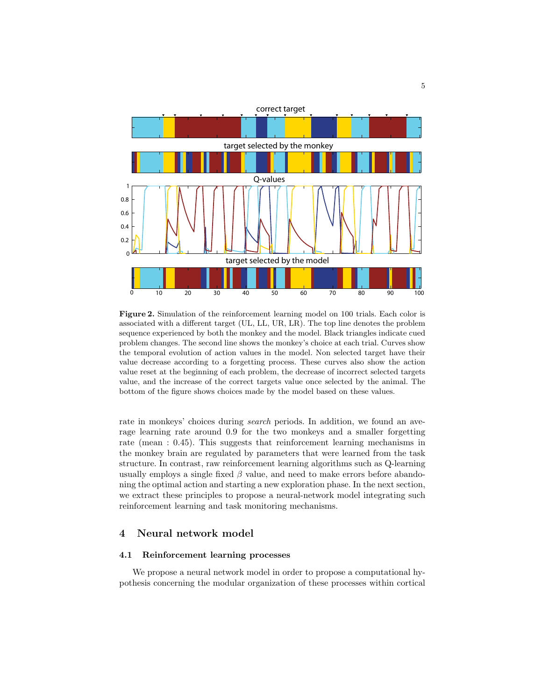

Figure 2. Simulation of the reinforcement learning model on 100 trials. Each color is associated with a different target (UL, LL, UR, LR). The top line denotes the problem sequence experienced by both the monkey and the model. Black triangles indicate cued problem changes. The second line shows the monkey's choice at each trial. Curves show the temporal evolution of action values in the model. Non selected target have their value decrease according to a forgetting process. These curves also show the action value reset at the beginning of each problem, the decrease of incorrect selected targets value, and the increase of the correct targets value once selected by the animal. The bottom of the figure shows choices made by the model based on these values.

rate in monkeys' choices during *search* periods. In addition, we found an average learning rate around 0.9 for the two monkeys and a smaller forgetting rate (mean : 0.45). This suggests that reinforcement learning mechanisms in the monkey brain are regulated by parameters that were learned from the task structure. In contrast, raw reinforcement learning algorithms such as Q-learning usually employs a single fixed  $\beta$  value, and need to make errors before abandoning the optimal action and starting a new exploration phase. In the next section, we extract these principles to propose a neural-network model integrating such reinforcement learning and task monitoring mechanisms.

#### 4 Neural network model

#### 4.1 Reinforcement learning processes

We propose a neural network model in order to propose a computational hypothesis concerning the modular organization of these processes within cortical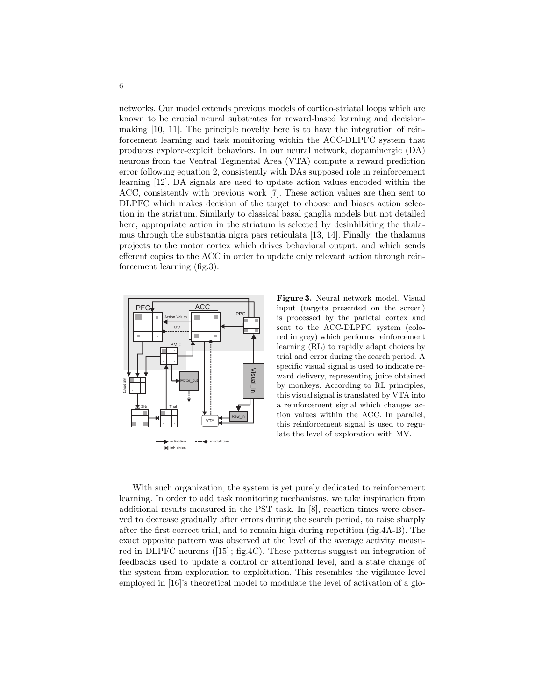networks. Our model extends previous models of cortico-striatal loops which are known to be crucial neural substrates for reward-based learning and decisionmaking [10, 11]. The principle novelty here is to have the integration of reinforcement learning and task monitoring within the ACC-DLPFC system that produces explore-exploit behaviors. In our neural network, dopaminergic (DA) neurons from the Ventral Tegmental Area (VTA) compute a reward prediction error following equation 2, consistently with DAs supposed role in reinforcement learning [12]. DA signals are used to update action values encoded within the ACC, consistently with previous work [7]. These action values are then sent to DLPFC which makes decision of the target to choose and biases action selection in the striatum. Similarly to classical basal ganglia models but not detailed here, appropriate action in the striatum is selected by desinhibiting the thalamus through the substantia nigra pars reticulata [13, 14]. Finally, the thalamus projects to the motor cortex which drives behavioral output, and which sends efferent copies to the ACC in order to update only relevant action through reinforcement learning (fig.3).



Figure 3. Neural network model. Visual input (targets presented on the screen) is processed by the parietal cortex and sent to the ACC-DLPFC system (colored in grey) which performs reinforcement learning (RL) to rapidly adapt choices by trial-and-error during the search period. A specific visual signal is used to indicate reward delivery, representing juice obtained by monkeys. According to RL principles, this visual signal is translated by VTA into a reinforcement signal which changes action values within the ACC. In parallel, this reinforcement signal is used to regulate the level of exploration with MV.

With such organization, the system is yet purely dedicated to reinforcement learning. In order to add task monitoring mechanisms, we take inspiration from additional results measured in the PST task. In [8], reaction times were observed to decrease gradually after errors during the search period, to raise sharply after the first correct trial, and to remain high during repetition (fig.4A-B). The exact opposite pattern was observed at the level of the average activity measured in DLPFC neurons ([15]; fig.4C). These patterns suggest an integration of feedbacks used to update a control or attentional level, and a state change of the system from exploration to exploitation. This resembles the vigilance level employed in [16]'s theoretical model to modulate the level of activation of a glo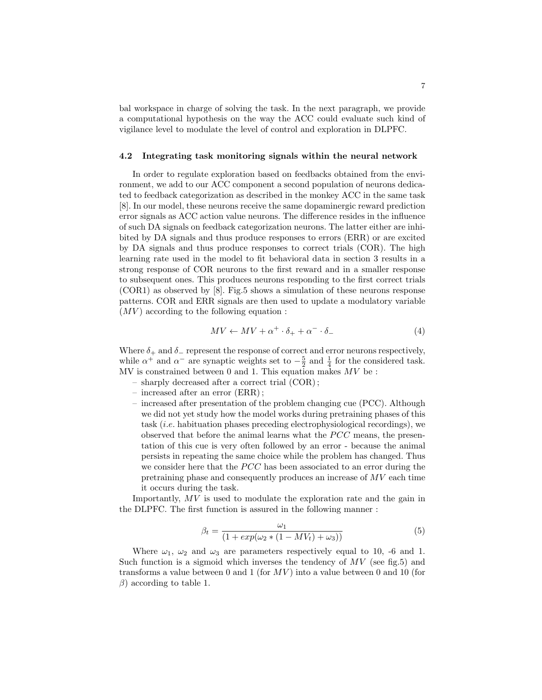bal workspace in charge of solving the task. In the next paragraph, we provide a computational hypothesis on the way the ACC could evaluate such kind of vigilance level to modulate the level of control and exploration in DLPFC.

#### 4.2 Integrating task monitoring signals within the neural network

In order to regulate exploration based on feedbacks obtained from the environment, we add to our ACC component a second population of neurons dedicated to feedback categorization as described in the monkey ACC in the same task [8]. In our model, these neurons receive the same dopaminergic reward prediction error signals as ACC action value neurons. The difference resides in the influence of such DA signals on feedback categorization neurons. The latter either are inhibited by DA signals and thus produce responses to errors (ERR) or are excited by DA signals and thus produce responses to correct trials (COR). The high learning rate used in the model to fit behavioral data in section 3 results in a strong response of COR neurons to the first reward and in a smaller response to subsequent ones. This produces neurons responding to the first correct trials (COR1) as observed by [8]. Fig.5 shows a simulation of these neurons response patterns. COR and ERR signals are then used to update a modulatory variable  $(MV)$  according to the following equation :

$$
MV \leftarrow MV + \alpha^+ \cdot \delta_+ + \alpha^- \cdot \delta_- \tag{4}
$$

Where  $\delta_+$  and  $\delta_-$  represent the response of correct and error neurons respectively, while  $\alpha^+$  and  $\alpha^-$  are synaptic weights set to  $-\frac{5}{2}$  and  $\frac{1}{4}$  for the considered task.  $MV$  is constrained between 0 and 1. This equation makes  $MV$  be :

- sharply decreased after a correct trial (COR) ;
- increased after an error (ERR) ;
- increased after presentation of the problem changing cue (PCC). Although we did not yet study how the model works during pretraining phases of this task (i.e. habituation phases preceding electrophysiological recordings), we observed that before the animal learns what the  $PCC$  means, the presentation of this cue is very often followed by an error - because the animal persists in repeating the same choice while the problem has changed. Thus we consider here that the  $PCC$  has been associated to an error during the pretraining phase and consequently produces an increase of MV each time it occurs during the task.

Importantly, MV is used to modulate the exploration rate and the gain in the DLPFC. The first function is assured in the following manner :

$$
\beta_t = \frac{\omega_1}{(1 + exp(\omega_2 * (1 - MV_t) + \omega_3))}
$$
(5)

Where  $\omega_1$ ,  $\omega_2$  and  $\omega_3$  are parameters respectively equal to 10, -6 and 1. Such function is a sigmoid which inverses the tendency of  $MV$  (see fig.5) and transforms a value between 0 and 1 (for  $MV$ ) into a value between 0 and 10 (for  $\beta$ ) according to table 1.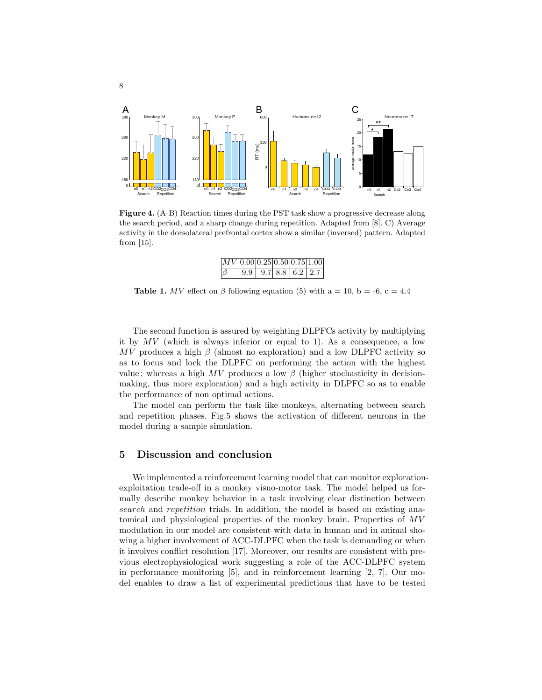

Figure 4. (A-B) Reaction times during the PST task show a progressive decrease along the search period, and a sharp change during repetition. Adapted from [8]. C) Average activity in the dorsolateral prefrontal cortex show a similar (inversed) pattern. Adapted from [15].

| $MV$ 0.00 0.25 0.50 0.75 1.00 |                       |  |  |
|-------------------------------|-----------------------|--|--|
| B                             | $9.9$ 9.7 8.8 6.2 2.7 |  |  |

**Table 1.** MV effect on  $\beta$  following equation (5) with a = 10, b = -6, c = 4.4

The second function is assured by weighting DLPFCs activity by multiplying it by  $MV$  (which is always inferior or equal to 1). As a consequence, a low  $MV$  produces a high  $\beta$  (almost no exploration) and a low DLPFC activity so as to focus and lock the DLPFC on performing the action with the highest value; whereas a high  $MV$  produces a low  $\beta$  (higher stochasticity in decisionmaking, thus more exploration) and a high activity in DLPFC so as to enable the performance of non optimal actions.

The model can perform the task like monkeys, alternating between search and repetition phases. Fig.5 shows the activation of different neurons in the model during a sample simulation.

#### 5 Discussion and conclusion

We implemented a reinforcement learning model that can monitor explorationexploitation trade-off in a monkey visuo-motor task. The model helped us formally describe monkey behavior in a task involving clear distinction between search and repetition trials. In addition, the model is based on existing anatomical and physiological properties of the monkey brain. Properties of MV modulation in our model are consistent with data in human and in animal showing a higher involvement of ACC-DLPFC when the task is demanding or when it involves conflict resolution [17]. Moreover, our results are consistent with previous electrophysiological work suggesting a role of the ACC-DLPFC system in performance monitoring [5], and in reinforcement learning [2, 7]. Our model enables to draw a list of experimental predictions that have to be tested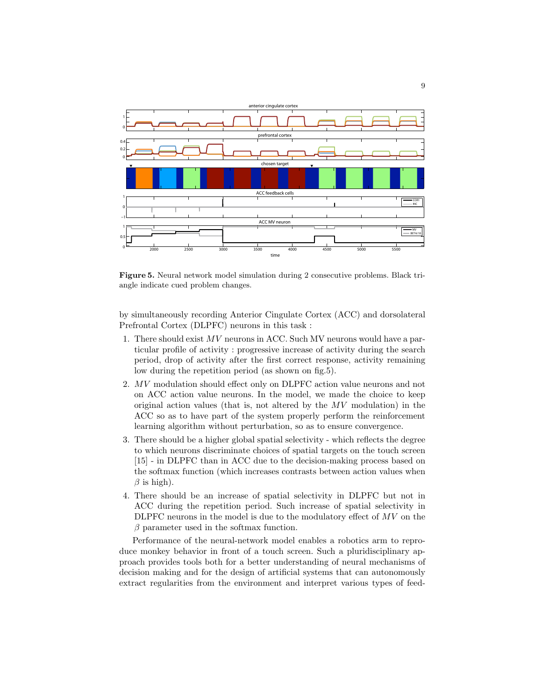

Figure 5. Neural network model simulation during 2 consecutive problems. Black triangle indicate cued problem changes.

by simultaneously recording Anterior Cingulate Cortex (ACC) and dorsolateral Prefrontal Cortex (DLPFC) neurons in this task :

- 1. There should exist  $MV$  neurons in ACC. Such MV neurons would have a particular profile of activity : progressive increase of activity during the search period, drop of activity after the first correct response, activity remaining low during the repetition period (as shown on fig.5).
- 2. MV modulation should effect only on DLPFC action value neurons and not on ACC action value neurons. In the model, we made the choice to keep original action values (that is, not altered by the  $MV$  modulation) in the ACC so as to have part of the system properly perform the reinforcement learning algorithm without perturbation, so as to ensure convergence.
- 3. There should be a higher global spatial selectivity which reflects the degree to which neurons discriminate choices of spatial targets on the touch screen [15] - in DLPFC than in ACC due to the decision-making process based on the softmax function (which increases contrasts between action values when  $\beta$  is high).
- 4. There should be an increase of spatial selectivity in DLPFC but not in ACC during the repetition period. Such increase of spatial selectivity in DLPFC neurons in the model is due to the modulatory effect of  $MV$  on the  $\beta$  parameter used in the softmax function.

Performance of the neural-network model enables a robotics arm to reproduce monkey behavior in front of a touch screen. Such a pluridisciplinary approach provides tools both for a better understanding of neural mechanisms of decision making and for the design of artificial systems that can autonomously extract regularities from the environment and interpret various types of feed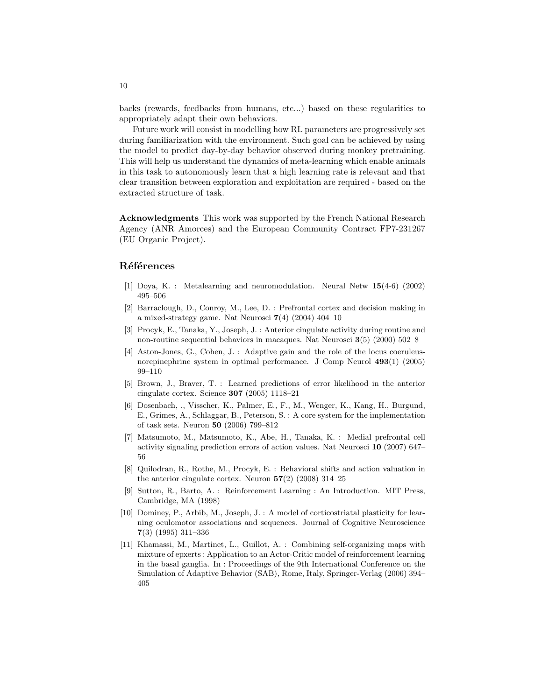backs (rewards, feedbacks from humans, etc...) based on these regularities to appropriately adapt their own behaviors.

Future work will consist in modelling how RL parameters are progressively set during familiarization with the environment. Such goal can be achieved by using the model to predict day-by-day behavior observed during monkey pretraining. This will help us understand the dynamics of meta-learning which enable animals in this task to autonomously learn that a high learning rate is relevant and that clear transition between exploration and exploitation are required - based on the extracted structure of task.

Acknowledgments This work was supported by the French National Research Agency (ANR Amorces) and the European Community Contract FP7-231267 (EU Organic Project).

#### Références

- [1] Doya, K. : Metalearning and neuromodulation. Neural Netw 15(4-6) (2002) 495–506
- [2] Barraclough, D., Conroy, M., Lee, D. : Prefrontal cortex and decision making in a mixed-strategy game. Nat Neurosci  $7(4)$  (2004) 404–10
- [3] Procyk, E., Tanaka, Y., Joseph, J. : Anterior cingulate activity during routine and non-routine sequential behaviors in macaques. Nat Neurosci  $3(5)$  (2000) 502–8
- [4] Aston-Jones, G., Cohen, J. : Adaptive gain and the role of the locus coeruleusnorepinephrine system in optimal performance. J Comp Neurol 493(1) (2005) 99–110
- [5] Brown, J., Braver, T. : Learned predictions of error likelihood in the anterior cingulate cortex. Science 307 (2005) 1118–21
- [6] Dosenbach, ., Visscher, K., Palmer, E., F., M., Wenger, K., Kang, H., Burgund, E., Grimes, A., Schlaggar, B., Peterson, S. : A core system for the implementation of task sets. Neuron 50 (2006) 799–812
- [7] Matsumoto, M., Matsumoto, K., Abe, H., Tanaka, K. : Medial prefrontal cell activity signaling prediction errors of action values. Nat Neurosci 10 (2007) 647– 56
- [8] Quilodran, R., Rothe, M., Procyk, E. : Behavioral shifts and action valuation in the anterior cingulate cortex. Neuron  $57(2)$  (2008) 314–25
- [9] Sutton, R., Barto, A. : Reinforcement Learning : An Introduction. MIT Press, Cambridge, MA (1998)
- [10] Dominey, P., Arbib, M., Joseph, J. : A model of corticostriatal plasticity for learning oculomotor associations and sequences. Journal of Cognitive Neuroscience 7(3) (1995) 311–336
- [11] Khamassi, M., Martinet, L., Guillot, A. : Combining self-organizing maps with mixture of epxerts : Application to an Actor-Critic model of reinforcement learning in the basal ganglia. In : Proceedings of the 9th International Conference on the Simulation of Adaptive Behavior (SAB), Rome, Italy, Springer-Verlag (2006) 394– 405